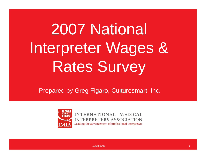## 2007 National Interpreter Wages & Rates Survey

Prepared by Greg Figaro, Culturesmart, Inc.



INTERNATIONAL MEDICAL **INTERPRETERS ASSOCIATION** Leading the advancement of professional interpreters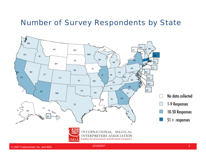#### Number of Survey Respondents by State

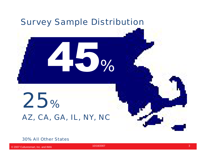

#### 30% All Other States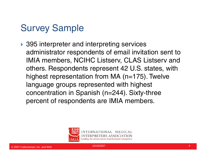### Survey Sample

▶ 395 interpreter and interpreting services administrator respondents of email invitation sent to IMIA members, NCIHC Listserv, CLAS Listserv and others. Respondents represent 42 U.S. states, with highest representation from MA (n=175). Twelve language groups represented with highest concentration in Spanish (n=244). Sixty-three percent of respondents are IMIA members.

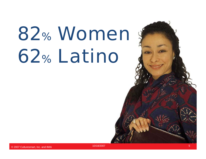# 82% Women \$ 62% Latino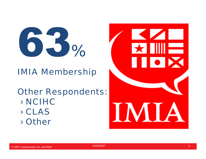

#### IMIA Membership

**Other Respondents:** › NCIHC› CLAS› Other

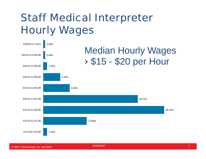## Staff Medical Interpreter Hourly Wages

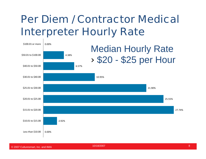### **Per Diem / Contractor Medical Interpreter Hourly Rate**



10/18/2007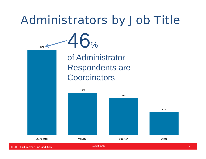## Administrators by Job Title

 46% of Administrator Respondents are **Coordinators** 



46%